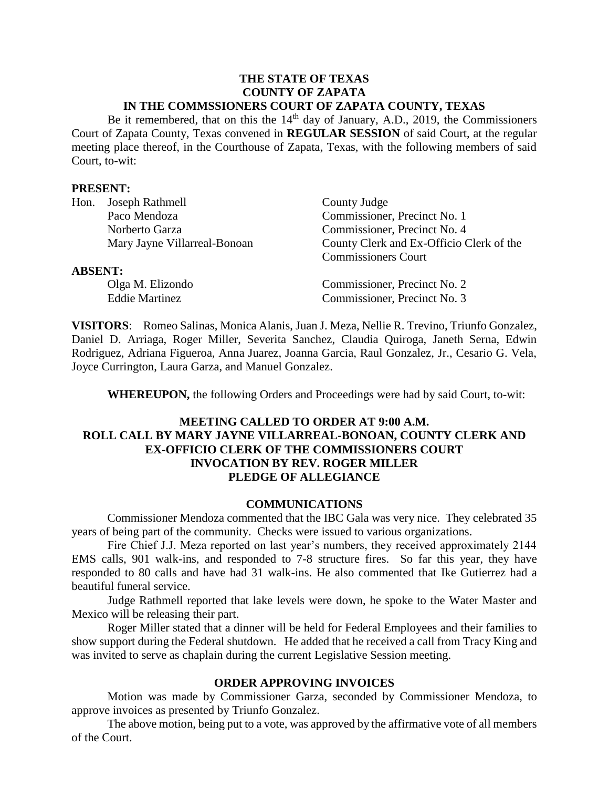#### **THE STATE OF TEXAS COUNTY OF ZAPATA IN THE COMMSSIONERS COURT OF ZAPATA COUNTY, TEXAS**

Be it remembered, that on this the  $14<sup>th</sup>$  day of January, A.D., 2019, the Commissioners Court of Zapata County, Texas convened in **REGULAR SESSION** of said Court, at the regular meeting place thereof, in the Courthouse of Zapata, Texas, with the following members of said Court, to-wit:

#### **PRESENT:**

| Hon.           | Joseph Rathmell              | County Judge                             |
|----------------|------------------------------|------------------------------------------|
|                | Paco Mendoza                 | Commissioner, Precinct No. 1             |
|                | Norberto Garza               | Commissioner, Precinct No. 4             |
|                | Mary Jayne Villarreal-Bonoan | County Clerk and Ex-Officio Clerk of the |
|                |                              | <b>Commissioners Court</b>               |
| <b>ABSENT:</b> |                              |                                          |
|                | Olga M. Elizondo             | Commissioner, Precinct No. 2             |
|                | <b>Eddie Martinez</b>        | Commissioner, Precinct No. 3             |
|                |                              |                                          |

**VISITORS**: Romeo Salinas, Monica Alanis, Juan J. Meza, Nellie R. Trevino, Triunfo Gonzalez, Daniel D. Arriaga, Roger Miller, Severita Sanchez, Claudia Quiroga, Janeth Serna, Edwin Rodriguez, Adriana Figueroa, Anna Juarez, Joanna Garcia, Raul Gonzalez, Jr., Cesario G. Vela, Joyce Currington, Laura Garza, and Manuel Gonzalez.

**WHEREUPON,** the following Orders and Proceedings were had by said Court, to-wit:

# **MEETING CALLED TO ORDER AT 9:00 A.M. ROLL CALL BY MARY JAYNE VILLARREAL-BONOAN, COUNTY CLERK AND EX-OFFICIO CLERK OF THE COMMISSIONERS COURT INVOCATION BY REV. ROGER MILLER PLEDGE OF ALLEGIANCE**

#### **COMMUNICATIONS**

Commissioner Mendoza commented that the IBC Gala was very nice. They celebrated 35 years of being part of the community. Checks were issued to various organizations.

Fire Chief J.J. Meza reported on last year's numbers, they received approximately 2144 EMS calls, 901 walk-ins, and responded to 7-8 structure fires. So far this year, they have responded to 80 calls and have had 31 walk-ins. He also commented that Ike Gutierrez had a beautiful funeral service.

Judge Rathmell reported that lake levels were down, he spoke to the Water Master and Mexico will be releasing their part.

Roger Miller stated that a dinner will be held for Federal Employees and their families to show support during the Federal shutdown. He added that he received a call from Tracy King and was invited to serve as chaplain during the current Legislative Session meeting.

#### **ORDER APPROVING INVOICES**

Motion was made by Commissioner Garza, seconded by Commissioner Mendoza, to approve invoices as presented by Triunfo Gonzalez.

The above motion, being put to a vote, was approved by the affirmative vote of all members of the Court.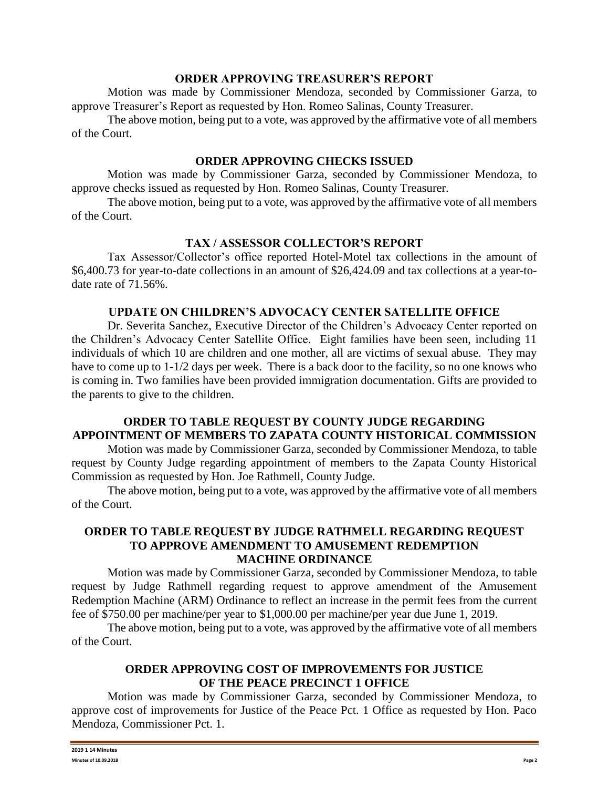#### **ORDER APPROVING TREASURER'S REPORT**

Motion was made by Commissioner Mendoza, seconded by Commissioner Garza, to approve Treasurer's Report as requested by Hon. Romeo Salinas, County Treasurer.

The above motion, being put to a vote, was approved by the affirmative vote of all members of the Court.

### **ORDER APPROVING CHECKS ISSUED**

Motion was made by Commissioner Garza, seconded by Commissioner Mendoza, to approve checks issued as requested by Hon. Romeo Salinas, County Treasurer.

The above motion, being put to a vote, was approved by the affirmative vote of all members of the Court.

# **TAX / ASSESSOR COLLECTOR'S REPORT**

Tax Assessor/Collector's office reported Hotel-Motel tax collections in the amount of \$6,400.73 for year-to-date collections in an amount of \$26,424.09 and tax collections at a year-todate rate of 71.56%.

#### **UPDATE ON CHILDREN'S ADVOCACY CENTER SATELLITE OFFICE**

Dr. Severita Sanchez, Executive Director of the Children's Advocacy Center reported on the Children's Advocacy Center Satellite Office. Eight families have been seen, including 11 individuals of which 10 are children and one mother, all are victims of sexual abuse. They may have to come up to 1-1/2 days per week. There is a back door to the facility, so no one knows who is coming in. Two families have been provided immigration documentation. Gifts are provided to the parents to give to the children.

## **ORDER TO TABLE REQUEST BY COUNTY JUDGE REGARDING APPOINTMENT OF MEMBERS TO ZAPATA COUNTY HISTORICAL COMMISSION**

Motion was made by Commissioner Garza, seconded by Commissioner Mendoza, to table request by County Judge regarding appointment of members to the Zapata County Historical Commission as requested by Hon. Joe Rathmell, County Judge.

The above motion, being put to a vote, was approved by the affirmative vote of all members of the Court.

## **ORDER TO TABLE REQUEST BY JUDGE RATHMELL REGARDING REQUEST TO APPROVE AMENDMENT TO AMUSEMENT REDEMPTION MACHINE ORDINANCE**

Motion was made by Commissioner Garza, seconded by Commissioner Mendoza, to table request by Judge Rathmell regarding request to approve amendment of the Amusement Redemption Machine (ARM) Ordinance to reflect an increase in the permit fees from the current fee of \$750.00 per machine/per year to \$1,000.00 per machine/per year due June 1, 2019.

The above motion, being put to a vote, was approved by the affirmative vote of all members of the Court.

## **ORDER APPROVING COST OF IMPROVEMENTS FOR JUSTICE OF THE PEACE PRECINCT 1 OFFICE**

Motion was made by Commissioner Garza, seconded by Commissioner Mendoza, to approve cost of improvements for Justice of the Peace Pct. 1 Office as requested by Hon. Paco Mendoza, Commissioner Pct. 1.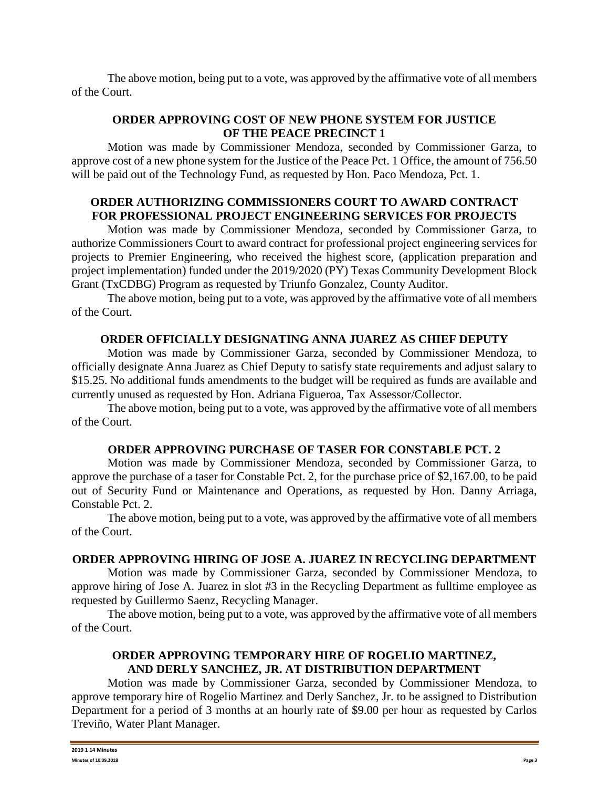The above motion, being put to a vote, was approved by the affirmative vote of all members of the Court.

# **ORDER APPROVING COST OF NEW PHONE SYSTEM FOR JUSTICE OF THE PEACE PRECINCT 1**

Motion was made by Commissioner Mendoza, seconded by Commissioner Garza, to approve cost of a new phone system for the Justice of the Peace Pct. 1 Office, the amount of 756.50 will be paid out of the Technology Fund, as requested by Hon. Paco Mendoza, Pct. 1.

# **ORDER AUTHORIZING COMMISSIONERS COURT TO AWARD CONTRACT FOR PROFESSIONAL PROJECT ENGINEERING SERVICES FOR PROJECTS**

Motion was made by Commissioner Mendoza, seconded by Commissioner Garza, to authorize Commissioners Court to award contract for professional project engineering services for projects to Premier Engineering, who received the highest score, (application preparation and project implementation) funded under the 2019/2020 (PY) Texas Community Development Block Grant (TxCDBG) Program as requested by Triunfo Gonzalez, County Auditor.

The above motion, being put to a vote, was approved by the affirmative vote of all members of the Court.

## **ORDER OFFICIALLY DESIGNATING ANNA JUAREZ AS CHIEF DEPUTY**

Motion was made by Commissioner Garza, seconded by Commissioner Mendoza, to officially designate Anna Juarez as Chief Deputy to satisfy state requirements and adjust salary to \$15.25. No additional funds amendments to the budget will be required as funds are available and currently unused as requested by Hon. Adriana Figueroa, Tax Assessor/Collector.

The above motion, being put to a vote, was approved by the affirmative vote of all members of the Court.

#### **ORDER APPROVING PURCHASE OF TASER FOR CONSTABLE PCT. 2**

Motion was made by Commissioner Mendoza, seconded by Commissioner Garza, to approve the purchase of a taser for Constable Pct. 2, for the purchase price of \$2,167.00, to be paid out of Security Fund or Maintenance and Operations, as requested by Hon. Danny Arriaga, Constable Pct. 2.

The above motion, being put to a vote, was approved by the affirmative vote of all members of the Court.

# **ORDER APPROVING HIRING OF JOSE A. JUAREZ IN RECYCLING DEPARTMENT**

Motion was made by Commissioner Garza, seconded by Commissioner Mendoza, to approve hiring of Jose A. Juarez in slot #3 in the Recycling Department as fulltime employee as requested by Guillermo Saenz, Recycling Manager.

The above motion, being put to a vote, was approved by the affirmative vote of all members of the Court.

## **ORDER APPROVING TEMPORARY HIRE OF ROGELIO MARTINEZ, AND DERLY SANCHEZ, JR. AT DISTRIBUTION DEPARTMENT**

Motion was made by Commissioner Garza, seconded by Commissioner Mendoza, to approve temporary hire of Rogelio Martinez and Derly Sanchez, Jr. to be assigned to Distribution Department for a period of 3 months at an hourly rate of \$9.00 per hour as requested by Carlos Treviño, Water Plant Manager.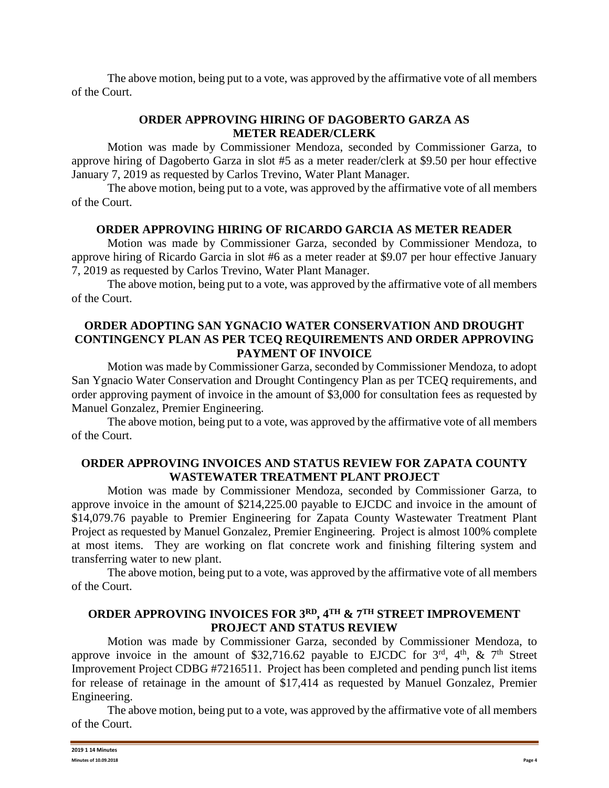The above motion, being put to a vote, was approved by the affirmative vote of all members of the Court.

# **ORDER APPROVING HIRING OF DAGOBERTO GARZA AS METER READER/CLERK**

Motion was made by Commissioner Mendoza, seconded by Commissioner Garza, to approve hiring of Dagoberto Garza in slot #5 as a meter reader/clerk at \$9.50 per hour effective January 7, 2019 as requested by Carlos Trevino, Water Plant Manager.

The above motion, being put to a vote, was approved by the affirmative vote of all members of the Court.

## **ORDER APPROVING HIRING OF RICARDO GARCIA AS METER READER**

Motion was made by Commissioner Garza, seconded by Commissioner Mendoza, to approve hiring of Ricardo Garcia in slot #6 as a meter reader at \$9.07 per hour effective January 7, 2019 as requested by Carlos Trevino, Water Plant Manager.

The above motion, being put to a vote, was approved by the affirmative vote of all members of the Court.

## **ORDER ADOPTING SAN YGNACIO WATER CONSERVATION AND DROUGHT CONTINGENCY PLAN AS PER TCEQ REQUIREMENTS AND ORDER APPROVING PAYMENT OF INVOICE**

Motion was made by Commissioner Garza, seconded by Commissioner Mendoza, to adopt San Ygnacio Water Conservation and Drought Contingency Plan as per TCEQ requirements, and order approving payment of invoice in the amount of \$3,000 for consultation fees as requested by Manuel Gonzalez, Premier Engineering.

The above motion, being put to a vote, was approved by the affirmative vote of all members of the Court.

# **ORDER APPROVING INVOICES AND STATUS REVIEW FOR ZAPATA COUNTY WASTEWATER TREATMENT PLANT PROJECT**

Motion was made by Commissioner Mendoza, seconded by Commissioner Garza, to approve invoice in the amount of \$214,225.00 payable to EJCDC and invoice in the amount of \$14,079.76 payable to Premier Engineering for Zapata County Wastewater Treatment Plant Project as requested by Manuel Gonzalez, Premier Engineering. Project is almost 100% complete at most items. They are working on flat concrete work and finishing filtering system and transferring water to new plant.

The above motion, being put to a vote, was approved by the affirmative vote of all members of the Court.

# **ORDER APPROVING INVOICES FOR 3RD, 4TH & 7TH STREET IMPROVEMENT PROJECT AND STATUS REVIEW**

Motion was made by Commissioner Garza, seconded by Commissioner Mendoza, to approve invoice in the amount of \$32,716.62 payable to EJCDC for  $3<sup>rd</sup>$ ,  $4<sup>th</sup>$ ,  $\&$  7<sup>th</sup> Street Improvement Project CDBG #7216511. Project has been completed and pending punch list items for release of retainage in the amount of \$17,414 as requested by Manuel Gonzalez, Premier Engineering.

The above motion, being put to a vote, was approved by the affirmative vote of all members of the Court.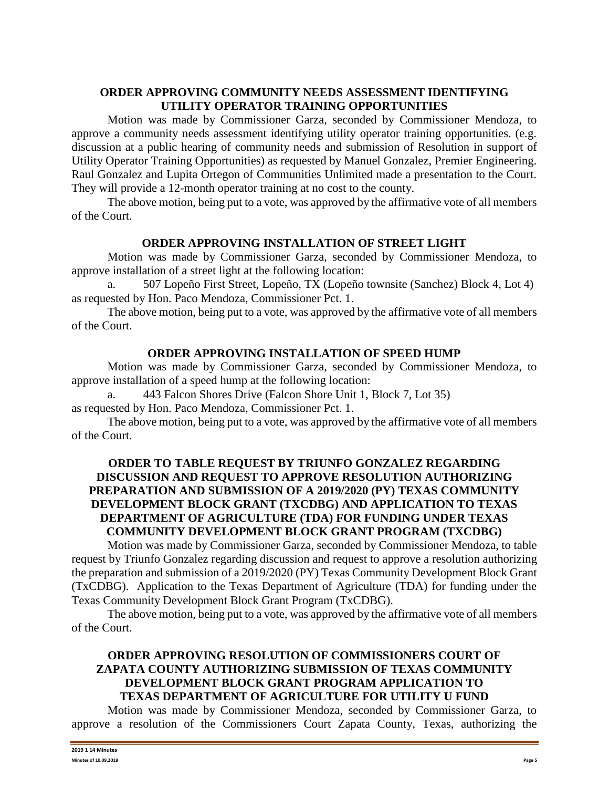# **ORDER APPROVING COMMUNITY NEEDS ASSESSMENT IDENTIFYING UTILITY OPERATOR TRAINING OPPORTUNITIES**

Motion was made by Commissioner Garza, seconded by Commissioner Mendoza, to approve a community needs assessment identifying utility operator training opportunities. (e.g. discussion at a public hearing of community needs and submission of Resolution in support of Utility Operator Training Opportunities) as requested by Manuel Gonzalez, Premier Engineering. Raul Gonzalez and Lupita Ortegon of Communities Unlimited made a presentation to the Court. They will provide a 12-month operator training at no cost to the county.

The above motion, being put to a vote, was approved by the affirmative vote of all members of the Court.

# **ORDER APPROVING INSTALLATION OF STREET LIGHT**

Motion was made by Commissioner Garza, seconded by Commissioner Mendoza, to approve installation of a street light at the following location:

a. 507 Lopeño First Street, Lopeño, TX (Lopeño townsite (Sanchez) Block 4, Lot 4) as requested by Hon. Paco Mendoza, Commissioner Pct. 1.

The above motion, being put to a vote, was approved by the affirmative vote of all members of the Court.

## **ORDER APPROVING INSTALLATION OF SPEED HUMP**

Motion was made by Commissioner Garza, seconded by Commissioner Mendoza, to approve installation of a speed hump at the following location:

a. 443 Falcon Shores Drive (Falcon Shore Unit 1, Block 7, Lot 35) as requested by Hon. Paco Mendoza, Commissioner Pct. 1.

The above motion, being put to a vote, was approved by the affirmative vote of all members of the Court.

# **ORDER TO TABLE REQUEST BY TRIUNFO GONZALEZ REGARDING DISCUSSION AND REQUEST TO APPROVE RESOLUTION AUTHORIZING PREPARATION AND SUBMISSION OF A 2019/2020 (PY) TEXAS COMMUNITY DEVELOPMENT BLOCK GRANT (TXCDBG) AND APPLICATION TO TEXAS DEPARTMENT OF AGRICULTURE (TDA) FOR FUNDING UNDER TEXAS COMMUNITY DEVELOPMENT BLOCK GRANT PROGRAM (TXCDBG)**

Motion was made by Commissioner Garza, seconded by Commissioner Mendoza, to table request by Triunfo Gonzalez regarding discussion and request to approve a resolution authorizing the preparation and submission of a 2019/2020 (PY) Texas Community Development Block Grant (TxCDBG). Application to the Texas Department of Agriculture (TDA) for funding under the Texas Community Development Block Grant Program (TxCDBG).

The above motion, being put to a vote, was approved by the affirmative vote of all members of the Court.

# **ORDER APPROVING RESOLUTION OF COMMISSIONERS COURT OF ZAPATA COUNTY AUTHORIZING SUBMISSION OF TEXAS COMMUNITY DEVELOPMENT BLOCK GRANT PROGRAM APPLICATION TO TEXAS DEPARTMENT OF AGRICULTURE FOR UTILITY U FUND**

Motion was made by Commissioner Mendoza, seconded by Commissioner Garza, to approve a resolution of the Commissioners Court Zapata County, Texas, authorizing the